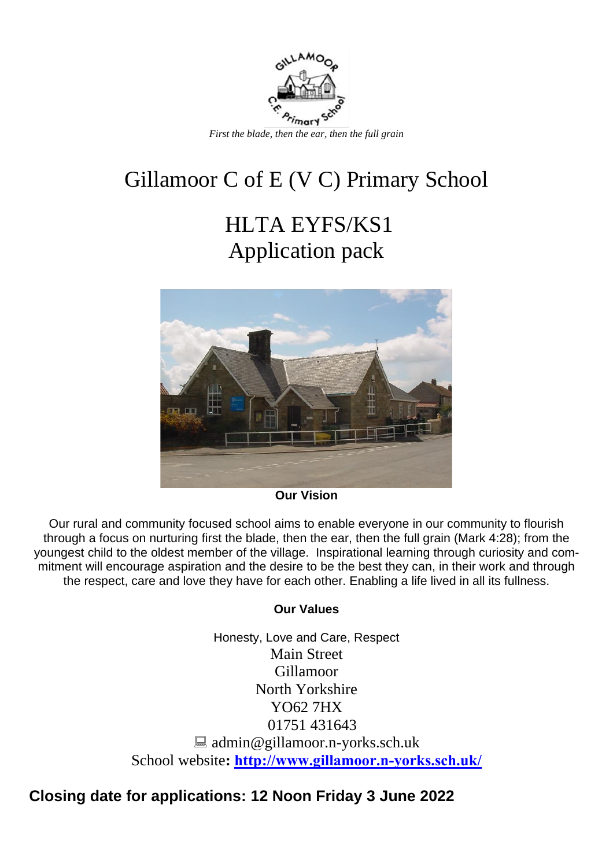

# Gillamoor C of E (V C) Primary School

# HLTA EYFS/KS1 Application pack



**Our Vision**

Our rural and community focused school aims to enable everyone in our community to flourish through a focus on nurturing first the blade, then the ear, then the full grain (Mark 4:28); from the youngest child to the oldest member of the village. Inspirational learning through curiosity and commitment will encourage aspiration and the desire to be the best they can, in their work and through the respect, care and love they have for each other. Enabling a life lived in all its fullness.

### **Our Values**

Honesty, Love and Care, Respect Main Street Gillamoor North Yorkshire YO62 7HX 01751 431643 ■ admin@gillamoor.n-yorks.sch.uk School website**: <http://www.gillamoor.n-yorks.sch.uk/>**

## **Closing date for applications: 12 Noon Friday 3 June 2022**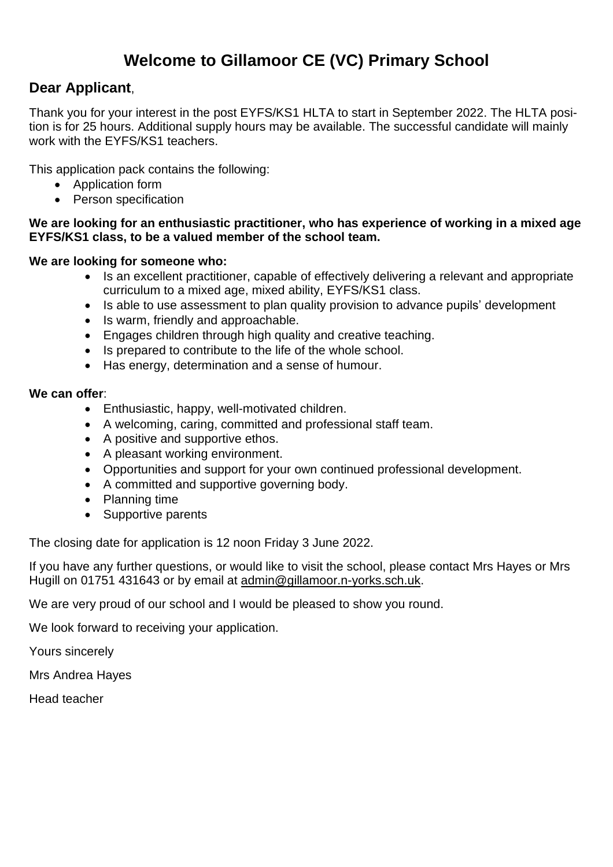## **Welcome to Gillamoor CE (VC) Primary School**

### **Dear Applicant**,

Thank you for your interest in the post EYFS/KS1 HLTA to start in September 2022. The HLTA position is for 25 hours. Additional supply hours may be available. The successful candidate will mainly work with the EYFS/KS1 teachers.

This application pack contains the following:

- Application form
- Person specification

### **We are looking for an enthusiastic practitioner, who has experience of working in a mixed age EYFS/KS1 class, to be a valued member of the school team.**

### **We are looking for someone who:**

- Is an excellent practitioner, capable of effectively delivering a relevant and appropriate curriculum to a mixed age, mixed ability, EYFS/KS1 class.
- Is able to use assessment to plan quality provision to advance pupils' development
- Is warm, friendly and approachable.
- Engages children through high quality and creative teaching.
- Is prepared to contribute to the life of the whole school.
- Has energy, determination and a sense of humour.

### **We can offer**:

- Enthusiastic, happy, well-motivated children.
- A welcoming, caring, committed and professional staff team.
- A positive and supportive ethos.
- A pleasant working environment.
- Opportunities and support for your own continued professional development.
- A committed and supportive governing body.
- Planning time
- Supportive parents

The closing date for application is 12 noon Friday 3 June 2022.

If you have any further questions, or would like to visit the school, please contact Mrs Hayes or Mrs Hugill on 01751 431643 or by email at [admin@gillamoor.n-yorks.sch.uk.](mailto:admin@gillamoor.n-yorks.sch.uk)

We are very proud of our school and I would be pleased to show you round.

We look forward to receiving your application.

Yours sincerely

Mrs Andrea Hayes

Head teacher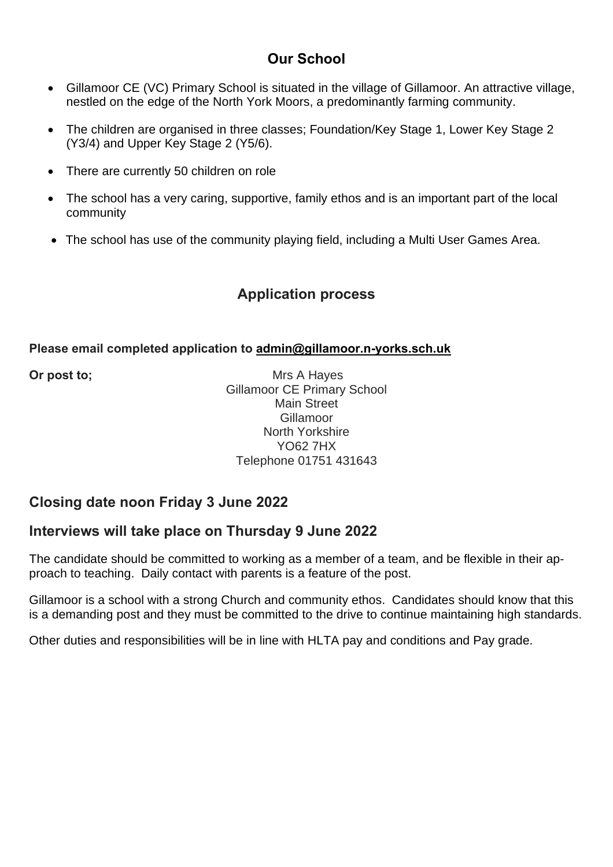### **Our School**

- Gillamoor CE (VC) Primary School is situated in the village of Gillamoor. An attractive village, nestled on the edge of the North York Moors, a predominantly farming community.
- The children are organised in three classes; Foundation/Key Stage 1, Lower Key Stage 2 (Y3/4) and Upper Key Stage 2 (Y5/6).
- There are currently 50 children on role
- The school has a very caring, supportive, family ethos and is an important part of the local community
- The school has use of the community playing field, including a Multi User Games Area.

### **Application process**

### **Please email completed application to [admin@gillamoor.n-yorks.sch.uk](mailto:admin@gillamoor.n-yorks.sch.uk)**

**Or post to;** Mrs A Hayes Gillamoor CE Primary School Main Street Gillamoor North Yorkshire YO62 7HX Telephone 01751 431643

### **Closing date noon Friday 3 June 2022**

### **Interviews will take place on Thursday 9 June 2022**

The candidate should be committed to working as a member of a team, and be flexible in their approach to teaching. Daily contact with parents is a feature of the post.

Gillamoor is a school with a strong Church and community ethos. Candidates should know that this is a demanding post and they must be committed to the drive to continue maintaining high standards.

Other duties and responsibilities will be in line with HLTA pay and conditions and Pay grade.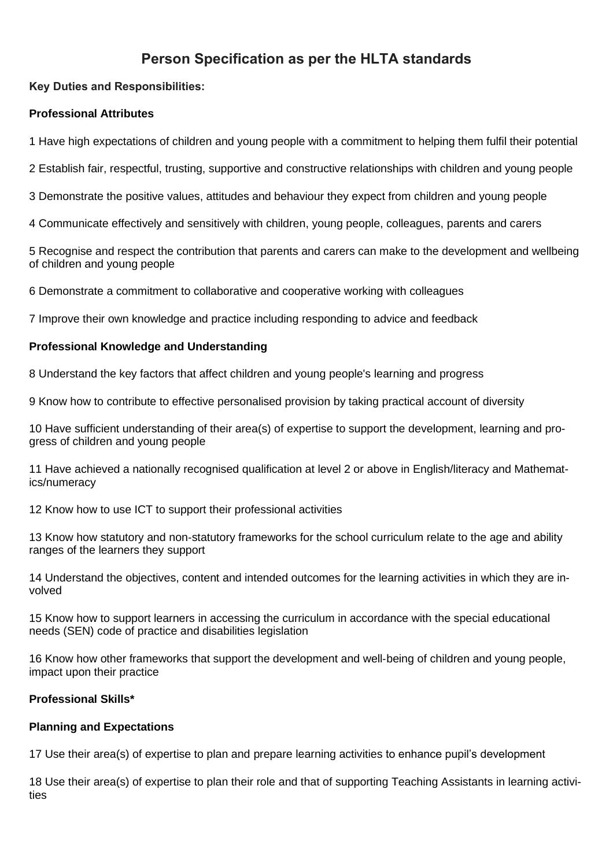### **Person Specification as per the HLTA standards**

### **Key Duties and Responsibilities:**

### **Professional Attributes**

1 Have high expectations of children and young people with a commitment to helping them fulfil their potential

2 Establish fair, respectful, trusting, supportive and constructive relationships with children and young people

3 Demonstrate the positive values, attitudes and behaviour they expect from children and young people

4 Communicate effectively and sensitively with children, young people, colleagues, parents and carers

5 Recognise and respect the contribution that parents and carers can make to the development and wellbeing of children and young people

6 Demonstrate a commitment to collaborative and cooperative working with colleagues

7 Improve their own knowledge and practice including responding to advice and feedback

#### **Professional Knowledge and Understanding**

8 Understand the key factors that affect children and young people's learning and progress

9 Know how to contribute to effective personalised provision by taking practical account of diversity

10 Have sufficient understanding of their area(s) of expertise to support the development, learning and progress of children and young people

11 Have achieved a nationally recognised qualification at level 2 or above in English/literacy and Mathematics/numeracy

12 Know how to use ICT to support their professional activities

13 Know how statutory and non‐statutory frameworks for the school curriculum relate to the age and ability ranges of the learners they support

14 Understand the objectives, content and intended outcomes for the learning activities in which they are involved

15 Know how to support learners in accessing the curriculum in accordance with the special educational needs (SEN) code of practice and disabilities legislation

16 Know how other frameworks that support the development and well‐being of children and young people, impact upon their practice

#### **Professional Skills\***

#### **Planning and Expectations**

17 Use their area(s) of expertise to plan and prepare learning activities to enhance pupil's development

18 Use their area(s) of expertise to plan their role and that of supporting Teaching Assistants in learning activities